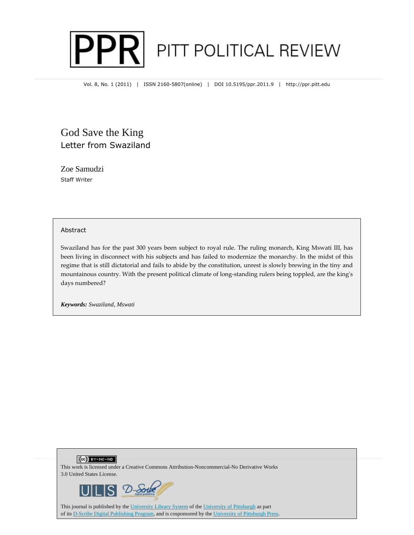

Vol. 8, No. 1 (2011) | ISSN 2160-5807(online) | DOI 10.5195/ppr.2011.9 | http://ppr.pitt.edu

## God Save the King Letter from Swaziland

Zoe Samudzi Staff Writer

#### Abstract

Swaziland has for the past 300 years been subject to royal rule. The ruling monarch, King Mswati III, has been living in disconnect with his subjects and has failed to modernize the monarchy. In the midst of this regime that is still dictatorial and fails to abide by the constitution, unrest is slowly brewing in the tiny and mountainous country. With the present political climate of long-standing rulers being toppled, are the king's days numbered?

*Keywords: Swaziland, Mswati* 

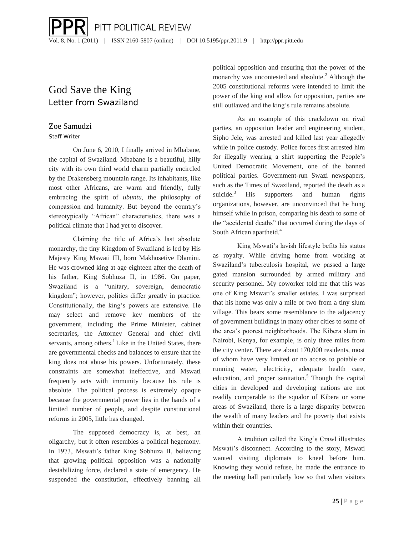## God Save the King Letter from Swaziland

### Zoe Samudzi

#### Staff Writer

On June 6, 2010, I finally arrived in Mbabane, the capital of Swaziland. Mbabane is a beautiful, hilly city with its own third world charm partially encircled by the Drakensberg mountain range. Its inhabitants, like most other Africans, are warm and friendly, fully embracing the spirit of *ubuntu*, the philosophy of compassion and humanity. But beyond the country's stereotypically "African" characteristics, there was a political climate that I had yet to discover.

Claiming the title of Africa's last absolute monarchy, the tiny Kingdom of Swaziland is led by His Majesty King Mswati III, born Makhosetive Dlamini. He was crowned king at age eighteen after the death of his father, King Sobhuza II, in 1986. On paper, Swaziland is a "unitary, sovereign, democratic kingdom"; however, politics differ greatly in practice. Constitutionally, the king's powers are extensive. He may select and remove key members of the government, including the Prime Minister, cabinet secretaries, the Attorney General and chief civil servants, among others. $<sup>1</sup>$  Like in the United States, there</sup> are governmental checks and balances to ensure that the king does not abuse his powers. Unfortunately, these constraints are somewhat ineffective, and Mswati frequently acts with immunity because his rule is absolute. The political process is extremely opaque because the governmental power lies in the hands of a limited number of people, and despite constitutional reforms in 2005, little has changed.

The supposed democracy is, at best, an oligarchy, but it often resembles a political hegemony. In 1973, Mswati's father King Sobhuza II, believing that growing political opposition was a nationally destabilizing force, declared a state of emergency. He suspended the constitution, effectively banning all political opposition and ensuring that the power of the monarchy was uncontested and absolute.<sup>2</sup> Although the 2005 constitutional reforms were intended to limit the power of the king and allow for opposition, parties are still outlawed and the king's rule remains absolute.

As an example of this crackdown on rival parties, an opposition leader and engineering student, Sipho Jele, was arrested and killed last year allegedly while in police custody. Police forces first arrested him for illegally wearing a shirt supporting the People's United Democratic Movement, one of the banned political parties. Government-run Swazi newspapers, such as the Times of Swaziland, reported the death as a suicide. $3$  His supporters and human rights organizations, however, are unconvinced that he hung himself while in prison, comparing his death to some of the "accidental deaths" that occurred during the days of South African apartheid.<sup>4</sup>

King Mswati's lavish lifestyle befits his status as royalty. While driving home from working at Swaziland's tuberculosis hospital, we passed a large gated mansion surrounded by armed military and security personnel. My coworker told me that this was one of King Mswati's smaller estates. I was surprised that his home was only a mile or two from a tiny slum village. This bears some resemblance to the adjacency of government buildings in many other cities to some of the area's poorest neighborhoods. The Kibera slum in Nairobi, Kenya, for example, is only three miles from the city center. There are about 170,000 residents, most of whom have very limited or no access to potable or running water, electricity, adequate health care, education, and proper sanitation.<sup>5</sup> Though the capital cities in developed and developing nations are not readily comparable to the squalor of Kibera or some areas of Swaziland, there is a large disparity between the wealth of many leaders and the poverty that exists within their countries.

A tradition called the King's Crawl illustrates Mswati's disconnect. According to the story, Mswati wanted visiting diplomats to kneel before him. Knowing they would refuse, he made the entrance to the meeting hall particularly low so that when visitors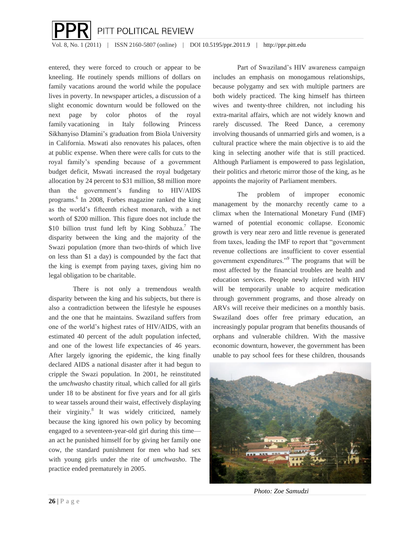# $\overline{a}$ PITT POLITICAL REVIEW

Vol. 8, No. 1 (2011) | ISSN 2160-5807 (online) | DOI 10.5195/ppr.2011.9 | http://ppr.pitt.edu

entered, they were forced to crouch or appear to be kneeling. He routinely spends millions of dollars on family vacations around the world while the populace lives in poverty. In newspaper articles, a discussion of a slight economic downturn would be followed on the next page by color photos of the royal family vacationing in Italy following Princess Sikhanyiso Dlamini's graduation from Biola University in California. Mswati also renovates his palaces, often at public expense. When there were calls for cuts to the royal family's spending because of a government budget deficit, Mswati increased the royal budgetary allocation by 24 percent to \$31 million, \$8 million more than the government's funding to HIV/AIDS programs.<sup>6</sup> In 2008, Forbes magazine ranked the king as the world's fifteenth richest monarch, with a net worth of \$200 million. This figure does not include the \$10 billion trust fund left by King Sobhuza.<sup>7</sup> The disparity between the king and the majority of the Swazi population (more than two-thirds of which live on less than \$1 a day) is compounded by the fact that the king is exempt from paying taxes, giving him no legal obligation to be charitable.

There is not only a tremendous wealth disparity between the king and his subjects, but there is also a contradiction between the lifestyle he espouses and the one that he maintains. Swaziland suffers from one of the world's highest rates of HIV/AIDS, with an estimated 40 percent of the adult population infected, and one of the lowest life expectancies of 46 years. After largely ignoring the epidemic, the king finally declared AIDS a national disaster after it had begun to cripple the Swazi population. In 2001, he reinstituted the *umchwasho* chastity ritual, which called for all girls under 18 to be abstinent for five years and for all girls to wear tassels around their waist, effectively displaying their virginity.<sup>8</sup> It was widely criticized, namely because the king ignored his own policy by becoming engaged to a seventeen-year-old girl during this time an act he punished himself for by giving her family one cow, the standard punishment for men who had sex with young girls under the rite of *umchwasho*. The practice ended prematurely in 2005.

Part of Swaziland's HIV awareness campaign includes an emphasis on monogamous relationships, because polygamy and sex with multiple partners are both widely practiced. The king himself has thirteen wives and twenty-three children, not including his extra-marital affairs, which are not widely known and rarely discussed. The Reed Dance, a ceremony involving thousands of unmarried girls and women, is a cultural practice where the main objective is to aid the king in selecting another wife that is still practiced. Although Parliament is empowered to pass legislation, their politics and rhetoric mirror those of the king, as he appoints the majority of Parliament members.

The problem of improper economic management by the monarchy recently came to a climax when the International Monetary Fund (IMF) warned of potential economic collapse. Economic growth is very near zero and little revenue is generated from taxes, leading the IMF to report that "government revenue collections are insufficient to cover essential government expenditures."<sup>9</sup> The programs that will be most affected by the financial troubles are health and education services. People newly infected with HIV will be temporarily unable to acquire medication through government programs, and those already on ARVs will receive their medicines on a monthly basis. Swaziland does offer free primary education, an increasingly popular program that benefits thousands of orphans and vulnerable children. With the massive economic downturn, however, the government has been unable to pay school fees for these children, thousands



*Photo: Zoe Samudzi*